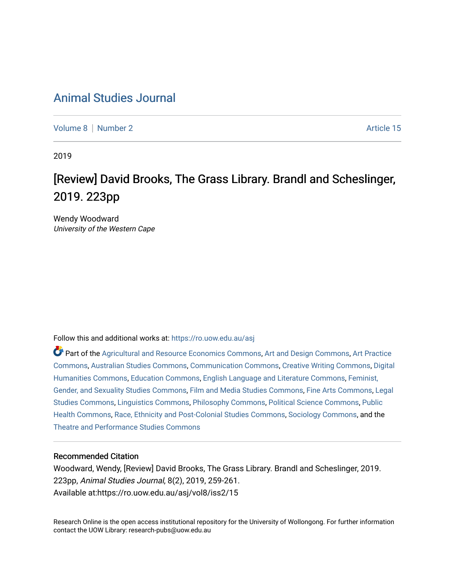## [Animal Studies Journal](https://ro.uow.edu.au/asj)

[Volume 8](https://ro.uow.edu.au/asj/vol8) | [Number 2](https://ro.uow.edu.au/asj/vol8/iss2) Article 15

2019

# [Review] David Brooks, The Grass Library. Brandl and Scheslinger, 2019. 223pp

Wendy Woodward University of the Western Cape

Follow this and additional works at: [https://ro.uow.edu.au/asj](https://ro.uow.edu.au/asj?utm_source=ro.uow.edu.au%2Fasj%2Fvol8%2Fiss2%2F15&utm_medium=PDF&utm_campaign=PDFCoverPages) 

Part of the [Agricultural and Resource Economics Commons,](http://network.bepress.com/hgg/discipline/317?utm_source=ro.uow.edu.au%2Fasj%2Fvol8%2Fiss2%2F15&utm_medium=PDF&utm_campaign=PDFCoverPages) [Art and Design Commons](http://network.bepress.com/hgg/discipline/1049?utm_source=ro.uow.edu.au%2Fasj%2Fvol8%2Fiss2%2F15&utm_medium=PDF&utm_campaign=PDFCoverPages), [Art Practice](http://network.bepress.com/hgg/discipline/509?utm_source=ro.uow.edu.au%2Fasj%2Fvol8%2Fiss2%2F15&utm_medium=PDF&utm_campaign=PDFCoverPages) [Commons](http://network.bepress.com/hgg/discipline/509?utm_source=ro.uow.edu.au%2Fasj%2Fvol8%2Fiss2%2F15&utm_medium=PDF&utm_campaign=PDFCoverPages), [Australian Studies Commons,](http://network.bepress.com/hgg/discipline/1020?utm_source=ro.uow.edu.au%2Fasj%2Fvol8%2Fiss2%2F15&utm_medium=PDF&utm_campaign=PDFCoverPages) [Communication Commons,](http://network.bepress.com/hgg/discipline/325?utm_source=ro.uow.edu.au%2Fasj%2Fvol8%2Fiss2%2F15&utm_medium=PDF&utm_campaign=PDFCoverPages) [Creative Writing Commons,](http://network.bepress.com/hgg/discipline/574?utm_source=ro.uow.edu.au%2Fasj%2Fvol8%2Fiss2%2F15&utm_medium=PDF&utm_campaign=PDFCoverPages) [Digital](http://network.bepress.com/hgg/discipline/1286?utm_source=ro.uow.edu.au%2Fasj%2Fvol8%2Fiss2%2F15&utm_medium=PDF&utm_campaign=PDFCoverPages) [Humanities Commons,](http://network.bepress.com/hgg/discipline/1286?utm_source=ro.uow.edu.au%2Fasj%2Fvol8%2Fiss2%2F15&utm_medium=PDF&utm_campaign=PDFCoverPages) [Education Commons,](http://network.bepress.com/hgg/discipline/784?utm_source=ro.uow.edu.au%2Fasj%2Fvol8%2Fiss2%2F15&utm_medium=PDF&utm_campaign=PDFCoverPages) [English Language and Literature Commons](http://network.bepress.com/hgg/discipline/455?utm_source=ro.uow.edu.au%2Fasj%2Fvol8%2Fiss2%2F15&utm_medium=PDF&utm_campaign=PDFCoverPages), [Feminist,](http://network.bepress.com/hgg/discipline/559?utm_source=ro.uow.edu.au%2Fasj%2Fvol8%2Fiss2%2F15&utm_medium=PDF&utm_campaign=PDFCoverPages) [Gender, and Sexuality Studies Commons](http://network.bepress.com/hgg/discipline/559?utm_source=ro.uow.edu.au%2Fasj%2Fvol8%2Fiss2%2F15&utm_medium=PDF&utm_campaign=PDFCoverPages), [Film and Media Studies Commons](http://network.bepress.com/hgg/discipline/563?utm_source=ro.uow.edu.au%2Fasj%2Fvol8%2Fiss2%2F15&utm_medium=PDF&utm_campaign=PDFCoverPages), [Fine Arts Commons,](http://network.bepress.com/hgg/discipline/1141?utm_source=ro.uow.edu.au%2Fasj%2Fvol8%2Fiss2%2F15&utm_medium=PDF&utm_campaign=PDFCoverPages) [Legal](http://network.bepress.com/hgg/discipline/366?utm_source=ro.uow.edu.au%2Fasj%2Fvol8%2Fiss2%2F15&utm_medium=PDF&utm_campaign=PDFCoverPages)  [Studies Commons,](http://network.bepress.com/hgg/discipline/366?utm_source=ro.uow.edu.au%2Fasj%2Fvol8%2Fiss2%2F15&utm_medium=PDF&utm_campaign=PDFCoverPages) [Linguistics Commons,](http://network.bepress.com/hgg/discipline/371?utm_source=ro.uow.edu.au%2Fasj%2Fvol8%2Fiss2%2F15&utm_medium=PDF&utm_campaign=PDFCoverPages) [Philosophy Commons](http://network.bepress.com/hgg/discipline/525?utm_source=ro.uow.edu.au%2Fasj%2Fvol8%2Fiss2%2F15&utm_medium=PDF&utm_campaign=PDFCoverPages), [Political Science Commons](http://network.bepress.com/hgg/discipline/386?utm_source=ro.uow.edu.au%2Fasj%2Fvol8%2Fiss2%2F15&utm_medium=PDF&utm_campaign=PDFCoverPages), [Public](http://network.bepress.com/hgg/discipline/738?utm_source=ro.uow.edu.au%2Fasj%2Fvol8%2Fiss2%2F15&utm_medium=PDF&utm_campaign=PDFCoverPages) [Health Commons,](http://network.bepress.com/hgg/discipline/738?utm_source=ro.uow.edu.au%2Fasj%2Fvol8%2Fiss2%2F15&utm_medium=PDF&utm_campaign=PDFCoverPages) [Race, Ethnicity and Post-Colonial Studies Commons,](http://network.bepress.com/hgg/discipline/566?utm_source=ro.uow.edu.au%2Fasj%2Fvol8%2Fiss2%2F15&utm_medium=PDF&utm_campaign=PDFCoverPages) [Sociology Commons](http://network.bepress.com/hgg/discipline/416?utm_source=ro.uow.edu.au%2Fasj%2Fvol8%2Fiss2%2F15&utm_medium=PDF&utm_campaign=PDFCoverPages), and the [Theatre and Performance Studies Commons](http://network.bepress.com/hgg/discipline/552?utm_source=ro.uow.edu.au%2Fasj%2Fvol8%2Fiss2%2F15&utm_medium=PDF&utm_campaign=PDFCoverPages) 

#### Recommended Citation

Woodward, Wendy, [Review] David Brooks, The Grass Library. Brandl and Scheslinger, 2019. 223pp, Animal Studies Journal, 8(2), 2019, 259-261. Available at:https://ro.uow.edu.au/asj/vol8/iss2/15

Research Online is the open access institutional repository for the University of Wollongong. For further information contact the UOW Library: research-pubs@uow.edu.au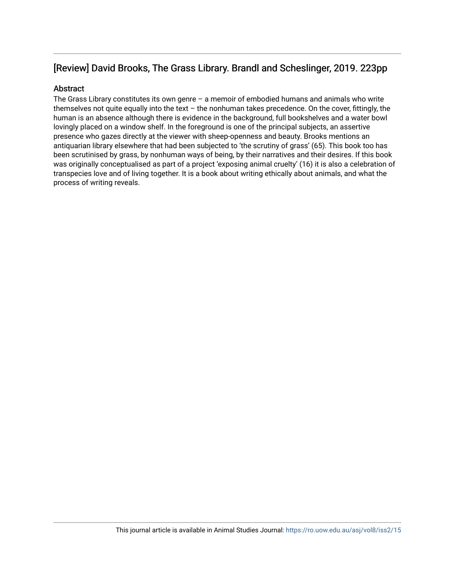## [Review] David Brooks, The Grass Library. Brandl and Scheslinger, 2019. 223pp

### **Abstract**

The Grass Library constitutes its own genre  $-$  a memoir of embodied humans and animals who write themselves not quite equally into the text – the nonhuman takes precedence. On the cover, fittingly, the human is an absence although there is evidence in the background, full bookshelves and a water bowl lovingly placed on a window shelf. In the foreground is one of the principal subjects, an assertive presence who gazes directly at the viewer with sheep-openness and beauty. Brooks mentions an antiquarian library elsewhere that had been subjected to 'the scrutiny of grass' (65). This book too has been scrutinised by grass, by nonhuman ways of being, by their narratives and their desires. If this book was originally conceptualised as part of a project 'exposing animal cruelty' (16) it is also a celebration of transpecies love and of living together. It is a book about writing ethically about animals, and what the process of writing reveals.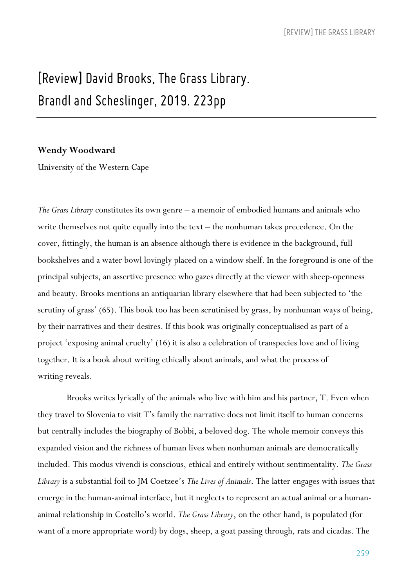# *[Review] David Brooks, The Grass Library. Brandl and Scheslinger, 2019. 223pp*

#### **Wendy Woodward**

University of the Western Cape

*The Grass Library* constitutes its own genre – a memoir of embodied humans and animals who write themselves not quite equally into the text – the nonhuman takes precedence. On the cover, fittingly, the human is an absence although there is evidence in the background, full bookshelves and a water bowl lovingly placed on a window shelf. In the foreground is one of the principal subjects, an assertive presence who gazes directly at the viewer with sheep-openness and beauty. Brooks mentions an antiquarian library elsewhere that had been subjected to 'the scrutiny of grass' (65). This book too has been scrutinised by grass, by nonhuman ways of being, by their narratives and their desires. If this book was originally conceptualised as part of a project 'exposing animal cruelty' (16) it is also a celebration of transpecies love and of living together. It is a book about writing ethically about animals, and what the process of writing reveals.

Brooks writes lyrically of the animals who live with him and his partner, T. Even when they travel to Slovenia to visit T's family the narrative does not limit itself to human concerns but centrally includes the biography of Bobbi, a beloved dog. The whole memoir conveys this expanded vision and the richness of human lives when nonhuman animals are democratically included. This modus vivendi is conscious, ethical and entirely without sentimentality. *The Grass Library* is a substantial foil to JM Coetzee's *The Lives of Animals*. The latter engages with issues that emerge in the human-animal interface, but it neglects to represent an actual animal or a humananimal relationship in Costello's world. *The Grass Library*, on the other hand, is populated (for want of a more appropriate word) by dogs, sheep, a goat passing through, rats and cicadas. The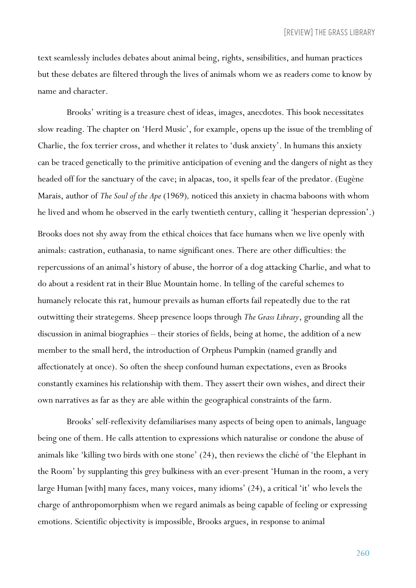text seamlessly includes debates about animal being, rights, sensibilities, and human practices but these debates are filtered through the lives of animals whom we as readers come to know by name and character.

Brooks' writing is a treasure chest of ideas, images, anecdotes. This book necessitates slow reading. The chapter on 'Herd Music', for example, opens up the issue of the trembling of Charlie, the fox terrier cross, and whether it relates to 'dusk anxiety'. In humans this anxiety can be traced genetically to the primitive anticipation of evening and the dangers of night as they headed off for the sanctuary of the cave; in alpacas, too, it spells fear of the predator. (Eugène Marais, author of *The Soul of the Ape* (1969)*,* noticed this anxiety in chacma baboons with whom he lived and whom he observed in the early twentieth century, calling it 'hesperian depression'.) Brooks does not shy away from the ethical choices that face humans when we live openly with animals: castration, euthanasia, to name significant ones. There are other difficulties: the repercussions of an animal's history of abuse, the horror of a dog attacking Charlie, and what to do about a resident rat in their Blue Mountain home. In telling of the careful schemes to humanely relocate this rat, humour prevails as human efforts fail repeatedly due to the rat outwitting their strategems. Sheep presence loops through *The Grass Library*, grounding all the discussion in animal biographies – their stories of fields, being at home, the addition of a new member to the small herd, the introduction of Orpheus Pumpkin (named grandly and affectionately at once). So often the sheep confound human expectations, even as Brooks constantly examines his relationship with them. They assert their own wishes, and direct their own narratives as far as they are able within the geographical constraints of the farm.

Brooks' self-reflexivity defamiliarises many aspects of being open to animals, language being one of them. He calls attention to expressions which naturalise or condone the abuse of animals like 'killing two birds with one stone' (24), then reviews the cliché of 'the Elephant in the Room' by supplanting this grey bulkiness with an ever-present 'Human in the room, a very large Human [with] many faces, many voices, many idioms' (24), a critical 'it' who levels the charge of anthropomorphism when we regard animals as being capable of feeling or expressing emotions. Scientific objectivity is impossible, Brooks argues, in response to animal

260